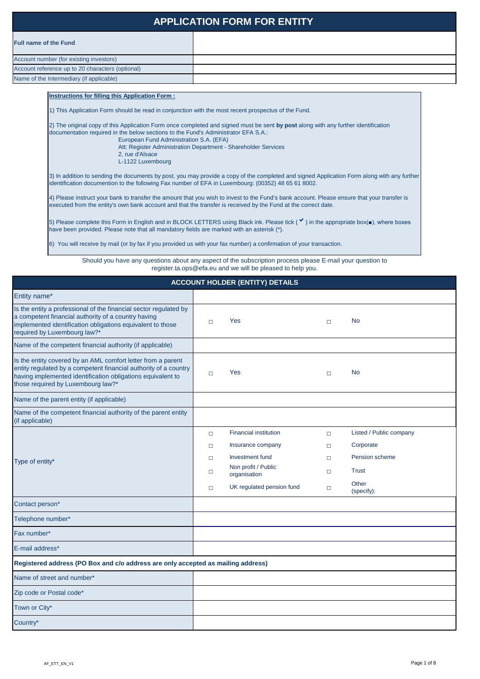# **APPLICATION FORM FOR ENTITY**

Account number (for existing investors) Account reference up to 20 characters (optional)

#### **Instructions for filling this Application Form :**

1) This Application Form should be read in conjunction with the most recent prospectus of the Fund.

2) The original copy of this Application Form once completed and signed must be sent **by post** along with any further identification documentation required in the below sections to the Fund's Administrator EFA S.A.:

European Fund Administration S.A. (EFA) Att: Register Administration Department - Shareholder Services 2, rue d'Alsace L-1122 Luxembourg

5) Please complete this Form in English and in BLOCK LETTERS using Black ink. Please tick (  $\checkmark$ ) in the appropriate box(■), where boxes have been provided. Please note that all mandatory fields are marked with an asterisk (\*).

3) In addition to sending the documents by post, you may provide a copy of the completed and signed Application Form along with any further identification documention to the following Fax number of EFA in Luxembourg: (00352) 48 65 61 8002.

4) Please instruct your bank to transfer the amount that you wish to invest to the Fund's bank account. Please ensure that your transfer is executed from the entity's own bank account and that the transfer is received by the Fund at the correct date.

| <b>ACCOUNT HOLDER (ENTITY) DETAILS</b>                                                                                                                                                                                                |  |                              |  |                         |  |  |  |
|---------------------------------------------------------------------------------------------------------------------------------------------------------------------------------------------------------------------------------------|--|------------------------------|--|-------------------------|--|--|--|
| Entity name*                                                                                                                                                                                                                          |  |                              |  |                         |  |  |  |
| Is the entity a professional of the financial sector regulated by<br>a competent financial authority of a country having<br>implemented identification obligations equivalent to those<br>required by Luxembourg law?*                |  | <b>Yes</b>                   |  | <b>No</b>               |  |  |  |
| Name of the competent financial authority (if applicable)                                                                                                                                                                             |  |                              |  |                         |  |  |  |
| Is the entity covered by an AML comfort letter from a parent<br>entity regulated by a competent financial authority of a country<br>having implemented identification obligations equivalent to<br>those required by Luxembourg law?* |  | <b>Yes</b>                   |  | <b>No</b>               |  |  |  |
| Name of the parent entity (if applicable)                                                                                                                                                                                             |  |                              |  |                         |  |  |  |
| Name of the competent financial authority of the parent entity<br>(if applicable)                                                                                                                                                     |  |                              |  |                         |  |  |  |
|                                                                                                                                                                                                                                       |  | <b>Financial institution</b> |  | Listed / Public company |  |  |  |

| Type of entity*                                                                  | $\Box$ | Insurance company                   | $\Box$ | Corporate           |
|----------------------------------------------------------------------------------|--------|-------------------------------------|--------|---------------------|
|                                                                                  | $\Box$ | Investment fund                     | $\Box$ | Pension scheme      |
|                                                                                  | $\Box$ | Non profit / Public<br>organisation | $\Box$ | <b>Trust</b>        |
|                                                                                  | $\Box$ | UK regulated pension fund           | $\Box$ | Other<br>(specify): |
| Contact person*                                                                  |        |                                     |        |                     |
| Telephone number*                                                                |        |                                     |        |                     |
| Fax number*                                                                      |        |                                     |        |                     |
| E-mail address*                                                                  |        |                                     |        |                     |
| Registered address (PO Box and c/o address are only accepted as mailing address) |        |                                     |        |                     |
| Name of street and number*                                                       |        |                                     |        |                     |
| Zip code or Postal code*                                                         |        |                                     |        |                     |
| Town or City*                                                                    |        |                                     |        |                     |
| Country*                                                                         |        |                                     |        |                     |

6) You will receive by mail (or by fax if you provided us with your fax number) a confirmation of your transaction.

Name of the Intermediary (if applicable)

Should you have any questions about any aspect of the subscription process please E-mail your question to register.ta.ops@efa.eu and we will be pleased to help you.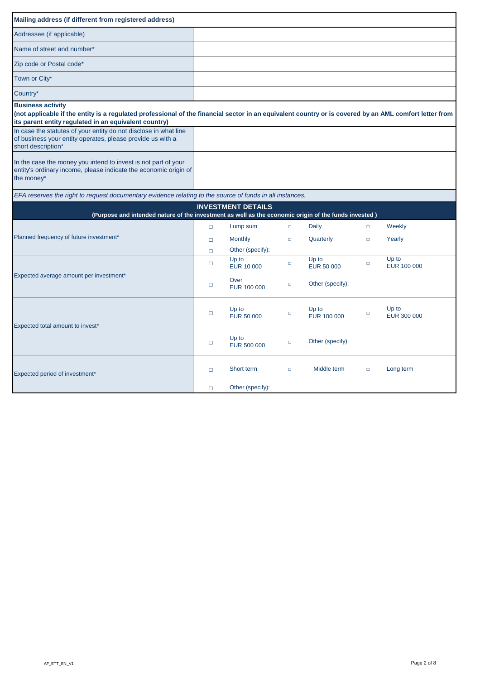| Mailing address (if different from registered address)                                                                                                                                                                                      |        |                              |        |                            |        |                      |
|---------------------------------------------------------------------------------------------------------------------------------------------------------------------------------------------------------------------------------------------|--------|------------------------------|--------|----------------------------|--------|----------------------|
| Addressee (if applicable)                                                                                                                                                                                                                   |        |                              |        |                            |        |                      |
| Name of street and number*                                                                                                                                                                                                                  |        |                              |        |                            |        |                      |
| Zip code or Postal code*                                                                                                                                                                                                                    |        |                              |        |                            |        |                      |
| Town or City*                                                                                                                                                                                                                               |        |                              |        |                            |        |                      |
| Country*                                                                                                                                                                                                                                    |        |                              |        |                            |        |                      |
| <b>Business activity</b><br>(not applicable if the entity is a regulated professional of the financial sector in an equivalent country or is covered by an AML comfort letter from<br>its parent entity regulated in an equivalent country) |        |                              |        |                            |        |                      |
| In case the statutes of your entity do not disclose in what line<br>of business your entity operates, please provide us with a<br>short description*                                                                                        |        |                              |        |                            |        |                      |
| In the case the money you intend to invest is not part of your<br>entity's ordinary income, please indicate the economic origin of<br>the money*                                                                                            |        |                              |        |                            |        |                      |
| EFA reserves the right to request documentary evidence relating to the source of funds in all instances.                                                                                                                                    |        |                              |        |                            |        |                      |
| (Purpose and intended nature of the investment as well as the economic origin of the funds invested)                                                                                                                                        |        | <b>INVESTMENT DETAILS</b>    |        |                            |        |                      |
|                                                                                                                                                                                                                                             | $\Box$ | Lump sum                     | $\Box$ | Daily                      | $\Box$ | Weekly               |
| Planned frequency of future investment*                                                                                                                                                                                                     | $\Box$ | <b>Monthly</b>               | $\Box$ | Quarterly                  | $\Box$ | Yearly               |
|                                                                                                                                                                                                                                             | $\Box$ | Other (specify):             |        |                            |        |                      |
|                                                                                                                                                                                                                                             | $\Box$ | Up to<br><b>EUR 10 000</b>   | $\Box$ | Up to<br><b>EUR 50 000</b> | $\Box$ | Up to<br>EUR 100 000 |
| Expected average amount per investment*                                                                                                                                                                                                     | $\Box$ | Over<br>EUR 100 000          | $\Box$ | Other (specify):           |        |                      |
| Expected total amount to invest*                                                                                                                                                                                                            | $\Box$ | $Up$ to<br><b>EUR 50 000</b> | $\Box$ | Up to<br>EUR 100 000       | $\Box$ | Up to<br>EUR 300 000 |
|                                                                                                                                                                                                                                             | $\Box$ | Up to<br><b>EUR 500 000</b>  | $\Box$ | Other (specify):           |        |                      |
| Expected period of investment*                                                                                                                                                                                                              | $\Box$ | Short term                   | $\Box$ | Middle term                | $\Box$ | Long term            |
|                                                                                                                                                                                                                                             | $\Box$ | Other (specify):             |        |                            |        |                      |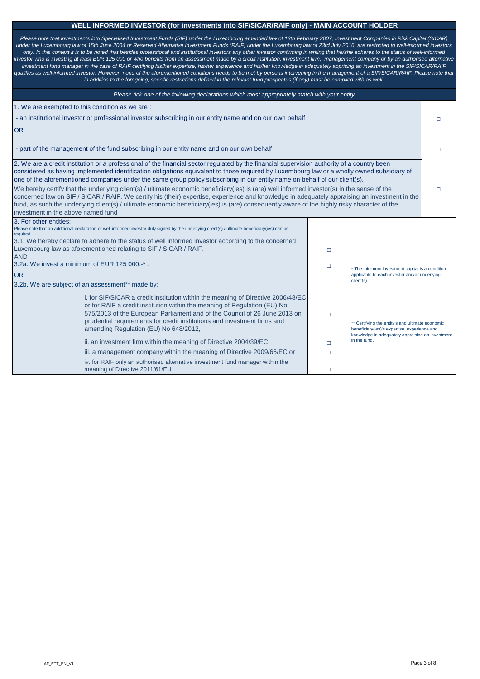# **WELL INFORMED INVESTOR (for investments into SIF/SICAR/RAIF only) - MAIN ACCOUNT HOLDER**

| Please tick one of the following declarations which most appropriately match with your entity                                                                                                                                                                                                                                                                                                                                                                                                                                                                                                                                                                                                                                                                                                                                                                                                                 |        |                                                                                                  |                                                                  |  |  |  |  |
|---------------------------------------------------------------------------------------------------------------------------------------------------------------------------------------------------------------------------------------------------------------------------------------------------------------------------------------------------------------------------------------------------------------------------------------------------------------------------------------------------------------------------------------------------------------------------------------------------------------------------------------------------------------------------------------------------------------------------------------------------------------------------------------------------------------------------------------------------------------------------------------------------------------|--------|--------------------------------------------------------------------------------------------------|------------------------------------------------------------------|--|--|--|--|
| 1. We are exempted to this condition as we are :                                                                                                                                                                                                                                                                                                                                                                                                                                                                                                                                                                                                                                                                                                                                                                                                                                                              |        |                                                                                                  |                                                                  |  |  |  |  |
| - an institutional investor or professional investor subscribing in our entity name and on our own behalf                                                                                                                                                                                                                                                                                                                                                                                                                                                                                                                                                                                                                                                                                                                                                                                                     |        |                                                                                                  |                                                                  |  |  |  |  |
| <b>OR</b>                                                                                                                                                                                                                                                                                                                                                                                                                                                                                                                                                                                                                                                                                                                                                                                                                                                                                                     |        |                                                                                                  |                                                                  |  |  |  |  |
| - part of the management of the fund subscribing in our entity name and on our own behalf                                                                                                                                                                                                                                                                                                                                                                                                                                                                                                                                                                                                                                                                                                                                                                                                                     |        |                                                                                                  |                                                                  |  |  |  |  |
| 2. We are a credit institution or a professional of the financial sector regulated by the financial supervision authority of a country been<br>considered as having implemented identification obligations equivalent to those required by Luxembourg law or a wholly owned subsidiary of<br>one of the aforementioned companies under the same group policy subscribing in our entity name on behalf of our client(s).<br>We hereby certify that the underlying client(s) / ultimate economic beneficiary(ies) is (are) well informed investor(s) in the sense of the<br>concerned law on SIF / SICAR / RAIF. We certify his (their) expertise, experience and knowledge in adequately appraising an investment in the<br>fund, as such the underlying client(s) / ultimate economic beneficiary(ies) is (are) consequently aware of the highly risky character of the<br>investment in the above named fund |        |                                                                                                  |                                                                  |  |  |  |  |
| 3. For other entities:<br>Please note that an additional declaration of well informed investor duly signed by the underlying client(s) / ultimate beneficiary(ies) can be                                                                                                                                                                                                                                                                                                                                                                                                                                                                                                                                                                                                                                                                                                                                     |        |                                                                                                  |                                                                  |  |  |  |  |
| required.                                                                                                                                                                                                                                                                                                                                                                                                                                                                                                                                                                                                                                                                                                                                                                                                                                                                                                     |        |                                                                                                  |                                                                  |  |  |  |  |
| 3.1. We hereby declare to adhere to the status of well informed investor according to the concerned<br>Luxembourg law as aforementioned relating to SIF / SICAR / RAIF.                                                                                                                                                                                                                                                                                                                                                                                                                                                                                                                                                                                                                                                                                                                                       |        | $\Box$                                                                                           |                                                                  |  |  |  |  |
| <b>AND</b>                                                                                                                                                                                                                                                                                                                                                                                                                                                                                                                                                                                                                                                                                                                                                                                                                                                                                                    |        |                                                                                                  |                                                                  |  |  |  |  |
| 3.2a. We invest a minimum of EUR 125 000.-*:                                                                                                                                                                                                                                                                                                                                                                                                                                                                                                                                                                                                                                                                                                                                                                                                                                                                  |        | $\Box$                                                                                           | * The minimum investment capital is a condition                  |  |  |  |  |
| <b>OR</b>                                                                                                                                                                                                                                                                                                                                                                                                                                                                                                                                                                                                                                                                                                                                                                                                                                                                                                     |        |                                                                                                  | applicable to each investor and/or underlying<br>client(s).      |  |  |  |  |
| 3.2b. We are subject of an assessment** made by:                                                                                                                                                                                                                                                                                                                                                                                                                                                                                                                                                                                                                                                                                                                                                                                                                                                              |        |                                                                                                  |                                                                  |  |  |  |  |
| i. for SIF/SICAR a credit institution within the meaning of Directive 2006/48/EC<br>or for RAIF a credit institution within the meaning of Regulation (EU) No<br>575/2013 of the European Parliament and of the Council of 26 June 2013 on<br>prudential requirements for credit institutions and investment firms and<br>amending Regulation (EU) No 648/2012,                                                                                                                                                                                                                                                                                                                                                                                                                                                                                                                                               | $\Box$ | ** Certifying the entity's and ultimate economic<br>beneficiary(ies)'s expertise, experience and |                                                                  |  |  |  |  |
| ii. an investment firm within the meaning of Directive 2004/39/EC,                                                                                                                                                                                                                                                                                                                                                                                                                                                                                                                                                                                                                                                                                                                                                                                                                                            |        | □                                                                                                | knowledge in adequately appraising an investment<br>in the fund. |  |  |  |  |
| iii. a management company within the meaning of Directive 2009/65/EC or                                                                                                                                                                                                                                                                                                                                                                                                                                                                                                                                                                                                                                                                                                                                                                                                                                       | $\Box$ |                                                                                                  |                                                                  |  |  |  |  |
| iv. for RAIF only an authorised alternative investment fund manager within the<br>meaning of Directive 2011/61/EU                                                                                                                                                                                                                                                                                                                                                                                                                                                                                                                                                                                                                                                                                                                                                                                             |        | $\Box$                                                                                           |                                                                  |  |  |  |  |

| Please note that investments into Specialised Investment Funds (SIF) under the Luxembourg amended law of 13th February 2007, Investment Companies in Risk Capital (SICAR)                 |
|-------------------------------------------------------------------------------------------------------------------------------------------------------------------------------------------|
| under the Luxembourg law of 15th June 2004 or Reserved Alternative Investment Funds (RAIF) under the Luxembourg law of 23rd July 2016 are restricted to well-informed investors           |
| only. In this context it is to be noted that besides professional and institutional investors any other investor confirming in writing that he/she adheres to the status of well-informed |
| investor who is investing at least EUR 125 000 or who benefits from an assessment made by a credit institution, investment firm, management company or by an authorised alternative       |
| investment fund manager in the case of RAIF certifying his/her expertise, his/her experience and his/her knowledge in adequately apprising an investment in the SIF/SICAR/RAIF            |
| qualifies as well-informed investor. However, none of the aforementioned conditions needs to be met by persons intervening in the management of a SIF/SICAR/RAIF. Please note that        |
| in addition to the foregoing, specific restrictions defined in the relevant fund prospectus (if any) must be complied with as well.                                                       |
|                                                                                                                                                                                           |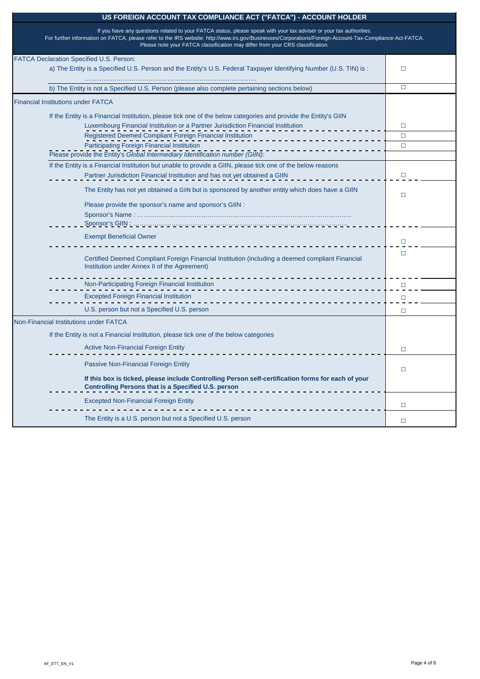| <b>FATCA Declaration Specified U.S. Person:</b>                                                                                                                  |              |
|------------------------------------------------------------------------------------------------------------------------------------------------------------------|--------------|
| a) The Entity is a Specified U.S. Person and the Entity's U.S. Federal Taxpayer Identifying Number (U.S. TIN) is :                                               |              |
| b) The Entity is not a Specified U.S. Person (please also complete pertaining sections below)                                                                    | $\Box$       |
| <b>Financial Institutions under FATCA</b>                                                                                                                        |              |
| If the Entity is a Financial Institution, please tick one of the below categories and provide the Entity's GIIN                                                  |              |
| Luxembourg Financial Institution or a Partner Jurisdiction Financial Institution                                                                                 | $\Box$       |
| <b>Registered Deemed Compliant Foreign Financial Institution</b>                                                                                                 | $\Box$       |
| <b>Participating Foreign Financial Institution</b>                                                                                                               | $\Box$       |
| Please provide the Entity's Global Intermediary Identification number (GIIN):                                                                                    |              |
| If the Entity is a Financial Institution but unable to provide a GIIN, please tick one of the below reasons                                                      |              |
| Partner Jurisdiction Financial Institution and has not yet obtained a GIIN                                                                                       | $\mathsf{L}$ |
| The Entity has not yet obtained a GIIN but is sponsored by another entity which does have a GIIN                                                                 |              |
| Please provide the sponsor's name and sponsor's GIIN :                                                                                                           |              |
|                                                                                                                                                                  |              |
|                                                                                                                                                                  |              |
| <b>Exempt Beneficial Owner</b>                                                                                                                                   |              |
| Certified Deemed Compliant Foreign Financial Institution (including a deemed compliant Financial<br>Institution under Annex II of the Agreement)                 |              |
| Non-Participating Foreign Financial Institution                                                                                                                  | $\Box$       |
| <b>Excepted Foreign Financial Institution</b>                                                                                                                    | $\Box$       |
| U.S. person but not a Specified U.S. person                                                                                                                      | □            |
| <b>Non-Financial Institutions under FATCA</b>                                                                                                                    |              |
| If the Entity is not a Financial Institution, please tick one of the below categories                                                                            |              |
| <b>Active Non-Financial Foreign Entity</b>                                                                                                                       | $\Box$       |
| <b>Passive Non-Financial Foreign Entity</b>                                                                                                                      | $\Box$       |
| If this box is ticked, please include Controlling Person self-certification forms for each of your<br><b>Controlling Persons that is a Specified U.S. person</b> |              |
| <b>Excepted Non-Financial Foreign Entity</b>                                                                                                                     | $\Box$       |
| The Entity is a U.S. person but not a Specified U.S. person                                                                                                      | $\Box$       |

### **US FOREIGN ACCOUNT TAX COMPLIANCE ACT ("FATCA") - ACCOUNT HOLDER**

If you have any questions related to your FATCA status, please speak with your tax adviser or your tax authorities.

For further information on FATCA, please refer to the IRS website[: http://www.irs.gov/Businesses/Corporations/Foreign-Account-Tax-Compliance-Act-FATCA.](https://www.irs.gov/businesses/corporations/foreign-account-tax-compliance-act-fatca) Please note your FATCA classification may differ from your CRS classification.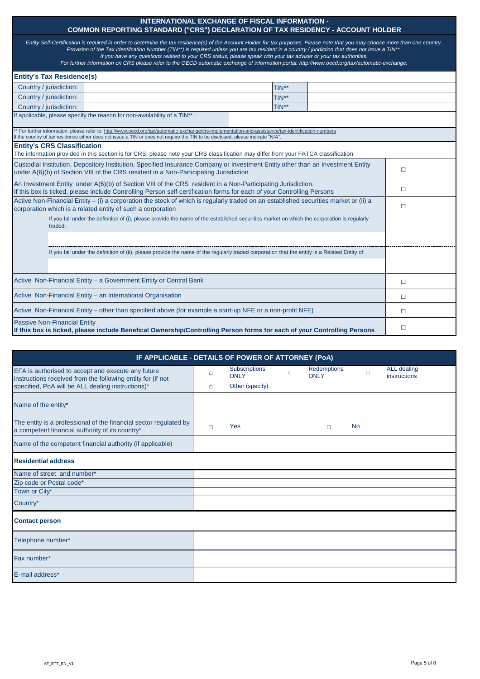| IF APPLICABLE - DETAILS OF POWER OF ATTORNEY (PoA)                                                                   |  |                                     |  |                                   |           |                                    |  |
|----------------------------------------------------------------------------------------------------------------------|--|-------------------------------------|--|-----------------------------------|-----------|------------------------------------|--|
| EFA is authorised to accept and execute any future<br>instructions received from the following entity for (if not    |  | <b>Subscriptions</b><br><b>ONLY</b> |  | <b>Redemptions</b><br><b>ONLY</b> |           | ALL dealing<br><b>instructions</b> |  |
| specified, PoA will be ALL dealing instructions)*                                                                    |  | Other (specify):                    |  |                                   |           |                                    |  |
| Name of the entity*                                                                                                  |  |                                     |  |                                   |           |                                    |  |
| The entity is a professional of the financial sector regulated by<br>a competent financial authority of its country* |  | Yes                                 |  |                                   | <b>No</b> |                                    |  |
| The contract of the contract of the contract of the contract of the contract of the contract of the contract of      |  |                                     |  |                                   |           |                                    |  |

| Name of the competent financial authority (if applicable) |  |
|-----------------------------------------------------------|--|
| <b>Residential address</b>                                |  |
| Name of street and number*                                |  |
| Zip code or Postal code*                                  |  |
| Town or City*                                             |  |
| Country*                                                  |  |
| <b>Contact person</b>                                     |  |
| Telephone number*                                         |  |
| Fax number*                                               |  |
| E-mail address*                                           |  |

#### **INTERNATIONAL EXCHANGE OF FISCAL INFORMATION - COMMON REPORTING STANDARD ("CRS") DECLARATION OF TAX RESIDENCY - ACCOUNT HOLDER**

|                                                                                                                                 | Entity Self-Certification is required in order to determine the tax residence(s) of the Account Holder for tax purposes. Please note that you may choose more than one country.                                                                                                                                                                                                                                         |        |
|---------------------------------------------------------------------------------------------------------------------------------|-------------------------------------------------------------------------------------------------------------------------------------------------------------------------------------------------------------------------------------------------------------------------------------------------------------------------------------------------------------------------------------------------------------------------|--------|
|                                                                                                                                 | Provision of the Tax Identifcation Number (TIN**) is required unless you are tax resident in a country / juridiction that does not issue a TIN**.<br>If you have any questions related to your CRS status, please speak with your tax adviser or your tax authorities.<br>For further information on CRS please refer to the OECD automatic exchange of information portal: http://www.oecd.org/tax/automatic-exchange. |        |
| <b>Entity's Tax Residence(s)</b>                                                                                                |                                                                                                                                                                                                                                                                                                                                                                                                                         |        |
| Country / jurisdiction:                                                                                                         | TIN**                                                                                                                                                                                                                                                                                                                                                                                                                   |        |
| Country / jurisdiction:                                                                                                         | TIN**                                                                                                                                                                                                                                                                                                                                                                                                                   |        |
| Country / jurisdiction:                                                                                                         | TIN**                                                                                                                                                                                                                                                                                                                                                                                                                   |        |
| If applicable, please specify the reason for non-availability of a TIN**:                                                       |                                                                                                                                                                                                                                                                                                                                                                                                                         |        |
| If the country of tax residence either does not issue a TIN or does not require the TIN to be disclosed, please indicate "N/A". | ** For further information, please refer to: http://www.oecd.org/tax/automatic-exchange/crs-implementation-and-assistance/tax-identification-numbers                                                                                                                                                                                                                                                                    |        |
| <b>Entity's CRS Classification</b>                                                                                              | The information provided in this section is for CRS, please note your CRS classification may differ from your FATCA classification                                                                                                                                                                                                                                                                                      |        |
| under A(6)(b) of Section VIII of the CRS resident in a Non-Participating Jurisdiction                                           | Custodial Institution, Depository Institution, Specified Insurance Company or Investment Entity other than an Investment Entity                                                                                                                                                                                                                                                                                         |        |
|                                                                                                                                 | An Investment Entity under A(6)(b) of Section VIII of the CRS resident in a Non-Participating Jurisdiction.<br>If this box is ticked, please include Controlling Person self-certification forms for each of your Controlling Persons                                                                                                                                                                                   |        |
| corporation which is a related entity of such a corporation                                                                     | Active Non-Financial Entity – (i) a corporation the stock of which is regularly traded on an established securities market or (ii) a                                                                                                                                                                                                                                                                                    | $\Box$ |
| traded:                                                                                                                         | If you fall under the definition of (i), please provide the name of the established securities market on which the corporation is regularly                                                                                                                                                                                                                                                                             |        |
|                                                                                                                                 |                                                                                                                                                                                                                                                                                                                                                                                                                         |        |
|                                                                                                                                 | If you fall under the definition of (ii), please provide the name of the regularly traded corporation that the entity is a Related Entity of:                                                                                                                                                                                                                                                                           |        |
|                                                                                                                                 |                                                                                                                                                                                                                                                                                                                                                                                                                         |        |
| Active Non-Financial Entity - a Government Entity or Central Bank                                                               |                                                                                                                                                                                                                                                                                                                                                                                                                         | $\Box$ |
| Active Non-Financial Entity - an International Organisation                                                                     | $\Box$                                                                                                                                                                                                                                                                                                                                                                                                                  |        |
| Active Non-Financial Entity – other than specified above (for example a start-up NFE or a non-profit NFE)                       | $\Box$                                                                                                                                                                                                                                                                                                                                                                                                                  |        |
| <b>Passive Non-Financial Entity</b>                                                                                             | If this box is ticked, please include Benefical Ownership/Controlling Person forms for each of your Controlling Persons                                                                                                                                                                                                                                                                                                 | $\Box$ |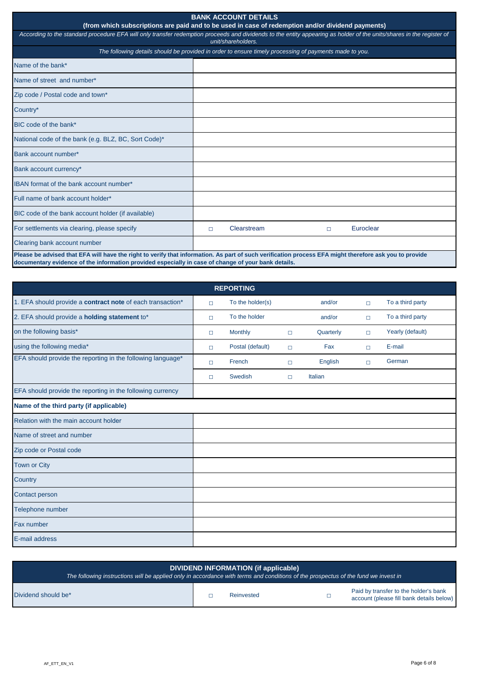| DIVIDEND INFORMATION (if applicable)<br>The following instructions will be applied only in accordance with terms and conditions of the prospectus of the fund we invest in $\dot{}$ |  |            |  |                                                                                   |  |
|-------------------------------------------------------------------------------------------------------------------------------------------------------------------------------------|--|------------|--|-----------------------------------------------------------------------------------|--|
| Dividend should be*                                                                                                                                                                 |  | Reinvested |  | Paid by transfer to the holder's bank<br>account (please fill bank details below) |  |

| Zip code or Postal code |  |
|-------------------------|--|
| Town or City            |  |
| Country                 |  |
| Contact person          |  |
| Telephone number        |  |
| Fax number              |  |
| E-mail address          |  |

| <b>BANK ACCOUNT DETAILS</b><br>(from which subscriptions are paid and to be used in case of redemption and/or dividend payments)                                                                                                                              |   |             |  |        |           |  |
|---------------------------------------------------------------------------------------------------------------------------------------------------------------------------------------------------------------------------------------------------------------|---|-------------|--|--------|-----------|--|
| According to the standard procedure EFA will only transfer redemption proceeds and dividends to the entity appearing as holder of the units/shares in the register of<br>unit/shareholders.                                                                   |   |             |  |        |           |  |
| The following details should be provided in order to ensure timely processing of payments made to you.                                                                                                                                                        |   |             |  |        |           |  |
| Name of the bank*                                                                                                                                                                                                                                             |   |             |  |        |           |  |
| Name of street and number*                                                                                                                                                                                                                                    |   |             |  |        |           |  |
| Zip code / Postal code and town*                                                                                                                                                                                                                              |   |             |  |        |           |  |
| Country*                                                                                                                                                                                                                                                      |   |             |  |        |           |  |
| BIC code of the bank*                                                                                                                                                                                                                                         |   |             |  |        |           |  |
| National code of the bank (e.g. BLZ, BC, Sort Code)*                                                                                                                                                                                                          |   |             |  |        |           |  |
| Bank account number*                                                                                                                                                                                                                                          |   |             |  |        |           |  |
| Bank account currency*                                                                                                                                                                                                                                        |   |             |  |        |           |  |
| IBAN format of the bank account number*                                                                                                                                                                                                                       |   |             |  |        |           |  |
| Full name of bank account holder*                                                                                                                                                                                                                             |   |             |  |        |           |  |
| BIC code of the bank account holder (if available)                                                                                                                                                                                                            |   |             |  |        |           |  |
| For settlements via clearing, please specify                                                                                                                                                                                                                  | □ | Clearstream |  | $\Box$ | Euroclear |  |
| Clearing bank account number                                                                                                                                                                                                                                  |   |             |  |        |           |  |
| Please be advised that EFA will have the right to verify that information. As part of such verification process EFA might therefore ask you to provide<br>documentary evidence of the information provided especially in case of change of your bank details. |   |             |  |        |           |  |

| <b>REPORTING</b>                                            |        |                  |        |           |        |                  |
|-------------------------------------------------------------|--------|------------------|--------|-----------|--------|------------------|
| 1. EFA should provide a contract note of each transaction*  | $\Box$ | To the holder(s) |        | and/or    | $\Box$ | To a third party |
| 2. EFA should provide a <b>holding statement</b> to*        | $\Box$ | To the holder    |        | and/or    | $\Box$ | To a third party |
| on the following basis*                                     | $\Box$ | <b>Monthly</b>   | $\Box$ | Quarterly | $\Box$ | Yearly (default) |
| using the following media*                                  | $\Box$ | Postal (default) | $\Box$ | Fax       | $\Box$ | E-mail           |
| EFA should provide the reporting in the following language* | $\Box$ | French           | $\Box$ | English   | $\Box$ | German           |
|                                                             | $\Box$ | <b>Swedish</b>   | $\Box$ | Italian   |        |                  |
| EFA should provide the reporting in the following currency  |        |                  |        |           |        |                  |
| Name of the third party (if applicable)                     |        |                  |        |           |        |                  |
| Relation with the main account holder                       |        |                  |        |           |        |                  |
| Name of street and number                                   |        |                  |        |           |        |                  |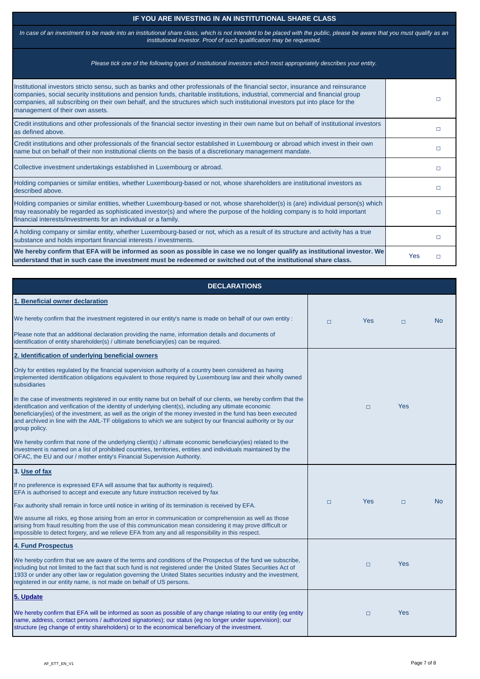### **IF YOU ARE INVESTING IN AN INSTITUTIONAL SHARE CLASS**

| Institutional investors stricto sensu, such as banks and other professionals of the financial sector, insurance and reinsurance<br>companies, social security institutions and pension funds, charitable institutions, industrial, commercial and financial group<br>companies, all subscribing on their own behalf, and the structures which such institutional investors put into place for the<br>management of their own assets. |     | П            |
|--------------------------------------------------------------------------------------------------------------------------------------------------------------------------------------------------------------------------------------------------------------------------------------------------------------------------------------------------------------------------------------------------------------------------------------|-----|--------------|
| Credit institutions and other professionals of the financial sector investing in their own name but on behalf of institutional investors<br>as defined above.                                                                                                                                                                                                                                                                        |     | $\mathsf{L}$ |
| Credit institutions and other professionals of the financial sector established in Luxembourg or abroad which invest in their own<br>name but on behalf of their non institutional clients on the basis of a discretionary management mandate.                                                                                                                                                                                       |     | П            |
| Collective investment undertakings established in Luxembourg or abroad.                                                                                                                                                                                                                                                                                                                                                              |     | П            |
| Holding companies or similar entities, whether Luxembourg-based or not, whose shareholders are institutional investors as<br>described above.                                                                                                                                                                                                                                                                                        |     | $\Box$       |
| Holding companies or similar entities, whether Luxembourg-based or not, whose shareholder(s) is (are) individual person(s) which<br>may reasonably be regarded as sophisticated investor(s) and where the purpose of the holding company is to hold important<br>financial interests/investments for an individual or a family.                                                                                                      |     | П            |
| A holding company or similar entity, whether Luxembourg-based or not, which as a result of its structure and activity has a true<br>substance and holds important financial interests / investments.                                                                                                                                                                                                                                 |     | П            |
| We hereby confirm that EFA will be informed as soon as possible in case we no longer qualify as institutional investor. We<br>understand that in such case the investment must be redeemed or switched out of the institutional share class.                                                                                                                                                                                         | Yes | $\Box$       |

*In case of an investment to be made into an institutional share class, which is not intended to be placed with the public, please be aware that you must qualify as an institutional investor. Proof of such qualification may be requested.* 

| $\alpha$ indicity commitmental fronts of this underlying shortles) / unimate scontomic beneficially (iss) related to the<br>investment is named on a list of prohibited countries, territories, entities and individuals maintained by the<br>OFAC, the EU and our / mother entity's Financial Supervision Authority.                                                                                                   |        |        |            |                |
|-------------------------------------------------------------------------------------------------------------------------------------------------------------------------------------------------------------------------------------------------------------------------------------------------------------------------------------------------------------------------------------------------------------------------|--------|--------|------------|----------------|
| 3. Use of fax                                                                                                                                                                                                                                                                                                                                                                                                           |        |        |            |                |
| If no preference is expressed EFA will assume that fax authority is required).<br>EFA is authorised to accept and execute any future instruction received by fax                                                                                                                                                                                                                                                        |        |        |            |                |
| Fax authority shall remain in force until notice in writing of its termination is received by EFA.                                                                                                                                                                                                                                                                                                                      | $\Box$ | Yes    | $\Box$     | N <sub>o</sub> |
| We assume all risks, eg those arising from an error in communication or comprehension as well as those<br>arising from fraud resulting from the use of this communication mean considering it may prove difficult or<br>impossible to detect forgery, and we relieve EFA from any and all responsibility in this respect.                                                                                               |        |        |            |                |
| <b>4. Fund Prospectus</b>                                                                                                                                                                                                                                                                                                                                                                                               |        |        |            |                |
| We hereby confirm that we are aware of the terms and conditions of the Prospectus of the fund we subscribe,<br>including but not limited to the fact that such fund is not registered under the United States Securities Act of<br>1933 or under any other law or regulation governing the United States securities industry and the investment,<br>registered in our entity name, is not made on behalf of US persons. |        | $\Box$ | <b>Yes</b> |                |
| 5. Update                                                                                                                                                                                                                                                                                                                                                                                                               |        |        |            |                |
| We hereby confirm that EFA will be informed as soon as possible of any change relating to our entity (eg entity<br>name, address, contact persons / authorized signatories); our status (eg no longer under supervision); our<br>structure (eg change of entity shareholders) or to the economical beneficiary of the investment.                                                                                       |        | $\Box$ | <b>Yes</b> |                |

| <b>DECLARATIONS</b>                                                                                                                                                                                                                                                                                                                                                                                                                                                              |        |            |        |           |
|----------------------------------------------------------------------------------------------------------------------------------------------------------------------------------------------------------------------------------------------------------------------------------------------------------------------------------------------------------------------------------------------------------------------------------------------------------------------------------|--------|------------|--------|-----------|
| 1. Beneficial owner declaration                                                                                                                                                                                                                                                                                                                                                                                                                                                  |        |            |        |           |
| We hereby confirm that the investment registered in our entity's name is made on behalf of our own entity :                                                                                                                                                                                                                                                                                                                                                                      | $\Box$ | <b>Yes</b> | $\Box$ | <b>No</b> |
| Please note that an additional declaration providing the name, information details and documents of<br>identification of entity shareholder(s) / ultimate beneficiary(ies) can be required.                                                                                                                                                                                                                                                                                      |        |            |        |           |
| 2. Identification of underlying beneficial owners                                                                                                                                                                                                                                                                                                                                                                                                                                |        |            |        |           |
| Only for entities regulated by the financial supervision authority of a country been considered as having<br>implemented identification obligations equivalent to those required by Luxembourg law and their wholly owned<br>subsidiaries                                                                                                                                                                                                                                        |        |            |        |           |
| In the case of investments registered in our entity name but on behalf of our clients, we hereby confirm that the<br>identification and verification of the identity of underlying client(s), including any ultimate economic<br>beneficiary(ies) of the investment, as well as the origin of the money invested in the fund has been executed<br>and archived in line with the AML-TF obligations to which we are subject by our financial authority or by our<br>group policy. |        | $\Box$     | Yes    |           |
| We hereby confirm that none of the underlying client(s) / ultimate economic beneficiary(ies) related to the                                                                                                                                                                                                                                                                                                                                                                      |        |            |        |           |